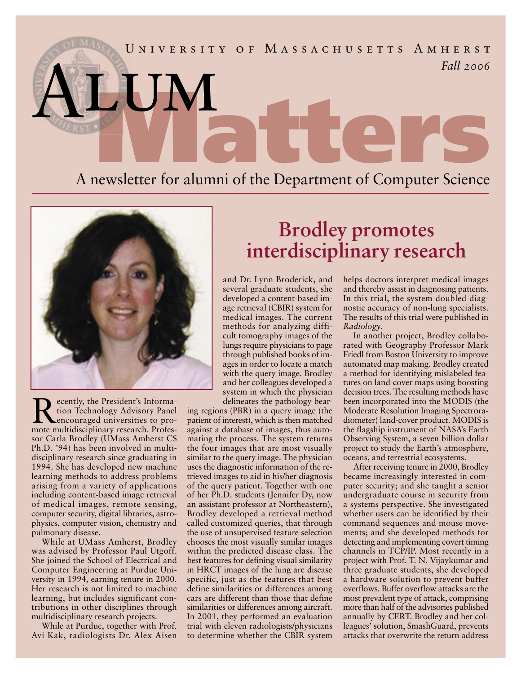## 8 × Significant Bits, Fall 2006  *Fall 2006* U N I V E R S I T Y O F M A S S A C H U S E T T S A M H E R S T ALUM<br>Anewsletter for alumni of the Department of Computer Science A newsletter for alumni of the Department of Computer Science Al EUN



Recently, the President's Informa-<br>tion Technology Advisory Panel<br>encouraged universities to protion Technology Advisory Panel encouraged universities to promote multidisciplinary research. Professor Carla Brodley (UMass Amherst CS Ph.D. '94) has been involved in multidisciplinary research since graduating in 1994. She has developed new machine learning methods to address problems arising from a variety of applications including content-based image retrieval of medical images, remote sensing, computer security, digital libraries, astrophysics, computer vision, chemistry and pulmonary disease.

While at UMass Amherst, Brodley was advised by Professor Paul Utgoff. She joined the School of Electrical and Computer Engineering at Purdue University in 1994, earning tenure in 2000. Her research is not limited to machine learning, but includes significant contributions in other disciplines through multidisciplinary research projects.

While at Purdue, together with Prof. Avi Kak, radiologists Dr. Alex Aisen

## **Brodley promotes interdisciplinary research**

and Dr. Lynn Broderick, and several graduate students, she developed a content-based image retrieval (CBIR) system for medical images. The current methods for analyzing difficult tomography images of the lungs require physicians to page through published books of images in order to locate a match with the query image. Brodley and her colleagues developed a system in which the physician delineates the pathology bear-

ing regions (PBR) in a query image (the patient of interest), which is then matched against a database of images, thus automating the process. The system returns the four images that are most visually similar to the query image. The physician uses the diagnostic information of the retrieved images to aid in his/her diagnosis of the query patient. Together with one of her Ph.D. students (Jennifer Dy, now an assistant professor at Northeastern), Brodley developed a retrieval method called customized queries, that through the use of unsupervised feature selection chooses the most visually similar images within the predicted disease class. The best features for defining visual similarity in HRCT images of the lung are disease specific, just as the features that best define similarities or differences among cars are different than those that define similarities or differences among aircraft. In 2001, they performed an evaluation trial with eleven radiologists/physicians to determine whether the CBIR system helps doctors interpret medical images and thereby assist in diagnosing patients. In this trial, the system doubled diagnostic accuracy of non-lung specialists. The results of this trial were published in *Radiology*.

In another project, Brodley collaborated with Geography Professor Mark Friedl from Boston University to improve automated map making. Brodley created a method for identifying mislabeled features on land-cover maps using boosting decision trees. The resulting methods have been incorporated into the MODIS (the Moderate Resolution Imaging Spectroradiometer) land-cover product. MODIS is the flagship instrument of NASA's Earth Observing System, a seven billion dollar project to study the Earth's atmosphere, oceans, and terrestrial ecosystems.

After receiving tenure in 2000, Brodley became increasingly interested in computer security; and she taught a senior undergraduate course in security from a systems perspective. She investigated whether users can be identified by their command sequences and mouse movements; and she developed methods for detecting and implementing covert timing channels in TCP/IP. Most recently in a project with Prof. T. N. Vijaykumar and three graduate students, she developed a hardware solution to prevent buffer overflows. Buffer overflow attacks are the most prevalent type of attack, comprising more than half of the advisories published annually by CERT. Brodley and her colleagues' solution, SmashGuard, prevents attacks that overwrite the return address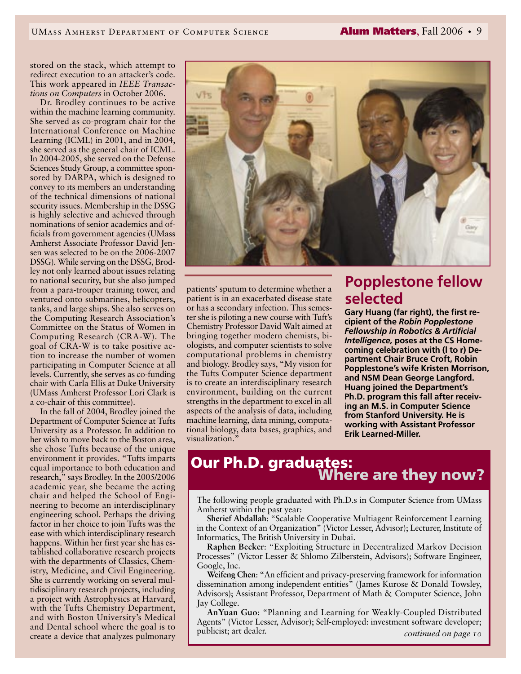stored on the stack, which attempt to redirect execution to an attacker's code. This work appeared in *IEEE Transactions on Computers* in October 2006.

Dr. Brodley continues to be active within the machine learning community. She served as co-program chair for the International Conference on Machine Learning (ICML) in 2001, and in 2004, she served as the general chair of ICML. In 2004-2005, she served on the Defense Sciences Study Group, a committee sponsored by DARPA, which is designed to convey to its members an understanding of the technical dimensions of national security issues. Membership in the DSSG is highly selective and achieved through nominations of senior academics and officials from government agencies (UMass Amherst Associate Professor David Jensen was selected to be on the 2006-2007 DSSG). While serving on the DSSG, Brodley not only learned about issues relating to national security, but she also jumped from a para-trouper training tower, and ventured onto submarines, helicopters, tanks, and large ships. She also serves on the Computing Research Association's Committee on the Status of Women in Computing Research (CRA-W). The goal of CRA-W is to take positive action to increase the number of women participating in Computer Science at all levels. Currently, she serves as co-funding chair with Carla Ellis at Duke University (UMass Amherst Professor Lori Clark is a co-chair of this committee).

In the fall of 2004, Brodley joined the Department of Computer Science at Tufts University as a Professor. In addition to her wish to move back to the Boston area, she chose Tufts because of the unique environment it provides. "Tufts imparts equal importance to both education and research," says Brodley. In the 2005/2006 academic year, she became the acting chair and helped the School of Engineering to become an interdisciplinary engineering school. Perhaps the driving factor in her choice to join Tufts was the ease with which interdisciplinary research happens. Within her first year she has established collaborative research projects with the departments of Classics, Chemistry, Medicine, and Civil Engineering. She is currently working on several multidisciplinary research projects, including a project with Astrophysics at Harvard, with the Tufts Chemistry Department, and with Boston University's Medical and Dental school where the goal is to create a device that analyzes pulmonary



patients' sputum to determine whether a patient is in an exacerbated disease state or has a secondary infection. This semester she is piloting a new course with Tuft's Chemistry Professor David Walt aimed at bringing together modern chemists, biologists, and computer scientists to solve computational problems in chemistry and biology. Brodley says, "My vision for the Tufts Computer Science department is to create an interdisciplinary research environment, building on the current strengths in the department to excel in all aspects of the analysis of data, including machine learning, data mining, computational biology, data bases, graphics, and visualization."

#### **Popplestone fellow selected**

**Gary Huang (far right), the first recipient of the** *Robin Popplestone Fellowship in Robotics & Artificial Intelligence,* **poses at the CS Homecoming celebration with (l to r) Department Chair Bruce Croft, Robin Popplestone's wife Kristen Morrison, and NSM Dean George Langford. Huang joined the Department's Ph.D. program this fall after receiving an M.S. in Computer Science from Stanford University. He is working with Assistant Professor Erik Learned-Miller.** 

# Our Ph.D. graduates:<br>Where are they now?

The following people graduated with Ph.D.s in Computer Science from UMass Amherst within the past year:

**Sherief Abdallah**: "Scalable Cooperative Multiagent Reinforcement Learning in the Context of an Organization" (Victor Lesser, Advisor); Lecturer, Institute of Informatics, The British University in Dubai.

**Raphen Becker**: "Exploiting Structure in Decentralized Markov Decision Processes" (Victor Lesser & Shlomo Zilberstein, Advisors); Software Engineer, Google, Inc.

**Weifeng Chen**: "An efficient and privacy-preserving framework for information dissemination among independent entities" (James Kurose & Donald Towsley, Advisors); Assistant Professor, Department of Math & Computer Science, John Jay College.

**AnYuan Guo**: "Planning and Learning for Weakly-Coupled Distributed Agents" (Victor Lesser, Advisor); Self-employed: investment software developer; publicist; art dealer. *continued on page 10*